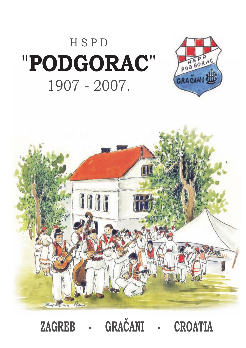### HSPD "PODGORAC" 1907 - 2007.





GRAČANI ZAGREB **CROATIA**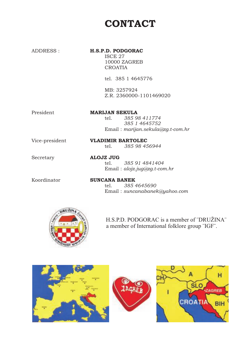#### **CONTACT**

#### **H.S.P.D. PODGORAC**

ISCE 27 10000 ZAGREB CROATIA

tel. 385 1 4645776

MB: 3257924 Z.R. 2360000-1101469020

President

#### **MARIJAN SEKULA**

tel. *385 98 411774 385 1 4645752* Email : *marijan.sekula@zg.t-com.hr*

Vice-president

#### tel. **VLADIMIR BARTOLEC** *385 98 456944*

Secretary

#### tel. **ALOJZ JUG** *385 91 4841404* Email : *alojz.jug@zg.t-com.hr*

Koordinator

tel. **SUNCANA BANEK** *385 4645690 s* Email : *uncanabanek@yahoo.com*



H.S.P.D. PODGORAC is a member of ¨DRUŽINA¨ a member of International folklore group ¨IGF¨.



ADDRESS :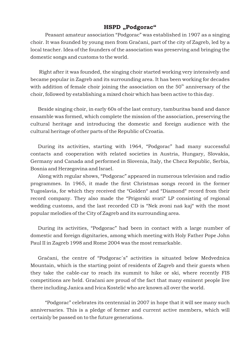#### **HSPD "Podgorac"**

Peasant amateur association "Podgorac" was established in 1907 as a singing choir. It was founded by young men from Gračani, part of the city of Zagreb, led by a local teacher. Idea of the founders of the association was preserving and bringing the domestic songs and customs to the world.

Right after it was founded, the singing choir started working very intensively and became popular in Zagreb and its surrounding area. It has been working for decades with addition of female choir joining the association on the  $50^{\rm \scriptscriptstyle th}$  anniversary of the choir, followed by establishing a mixed choir which has been active to this day.

Beside singing choir, in early 60s of the last century, tamburitsa band and dance ensamble was formed, which complete the mission of the association, preserving the cultural heritage and introducing the domestic and foreign audience with the cultural heritage of other parts of the Republic of Croatia.

During its activities, starting with 1964, "Podgorac" had many successful contacts and cooperation with related societies in Austria, Hungary, Slovakia, Germany and Canada and performed in Slovenia, Italy, the Checz Republic, Serbia, Bosnia and Herzegovina and Israel.

Along with regular shows, "Podgorac" appeared in numerous television and radio programmes. In 1965, it made the first Christmas songs record in the former Yugoslavia, for which they received the "Golden" and "Diamond" record from their record company. They also made the "Prigorski svati" LP consisting of regional wedding customs, and the last recorded CD is "Nek zvoni naš kaj" with the most popular melodies of the City of Zagreb and its surrounding area.

During its activities, "Podgorac" had been in contact with a large number of domestic and foreign dignitaries, among which meeting with Holy Father Pope John Paul II in Zagreb 1998 and Rome 2004 was the most remarkable.

Gračani, the centre of "Podgorac´s" activities is situated below Medvednica Mountain, which is the starting point of residents of Zagreb and their guests when they take the cable-car to reach its summit to hike or ski, where recently FIS competitions are held. Gračani are proud of the fact that many eminent people live there including Janica and Ivica Kostelić who are known all over the world.

"Podgorac" celebrates its centennial in 2007 in hope that it will see many such anniversaries. This is a pledge of former and current active members, which will certainly be passed on to the future generations.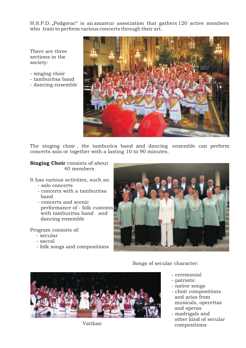H.S.P.D. "Podgorac" is an amateur association that gathers 120 active members who train to perform various concerts through their art.

There are three sections in the society:

- singing choir
- tamburitsa band
- dancing ensemble



The singing choir , the tamburica band and dancing ensemble can perform concerts solo or together with a lasting 10 to 90 minutes.

#### **Singing Choir** consists of about 40 members

It has various activities, such as:

- solo concerts
- concerts with a tamburitsa band
- concerts and scenic performance of - folk customs with tamburitsa band and dancing ensemble

Program consists of:

- secular
- sacral
- folk songs and compositions



Songs of secular character:

- ceremonial
- patriotic
- native songs
- choir compositions and arias from musicals, operettas and operas
- madrigals and other kind of secular compositions

Vatikan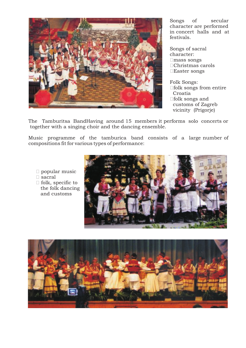

Songs of secular character are performed in concert halls and at festivals.

Songs of sacral character: □mass songs □Christmas carols □Easter songs

Folk Songs: □ folk songs from entire Croatia □folk songs and customs of Zagreb vicinity (Prigorje)

The Tamburitsa BandHaving around 15 members it performs solo concerts or together with a singing choir and the dancing ensemble.

Music programme of the tamburica band consists of a large number of compositions fit for various types of performance:

- $\Box$  popular music
- □ sacral
- $\Box$  folk, specific to the folk dancing and customs



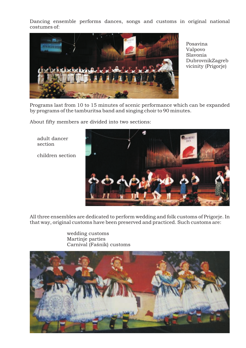Dancing ensemble performs dances, songs and customs in original national costumes of:



Posavina Valpovo Slavonia DubrovnikZagreb vicinity (Prigorje)

Programs last from 10 to 15 minutes of scenic performance which can be expanded by programs of the tamburitsa band and singing choir to 90 minutes.

About fifty members are divided into two sections:

adult dancer section

children section



All three ensembles are dedicated to perform wedding and folk customs of Prigorje. In that way, original customs have been preserved and practiced. Such customs are:

> wedding customs Martinje parties Carnival (Fašnik) customs